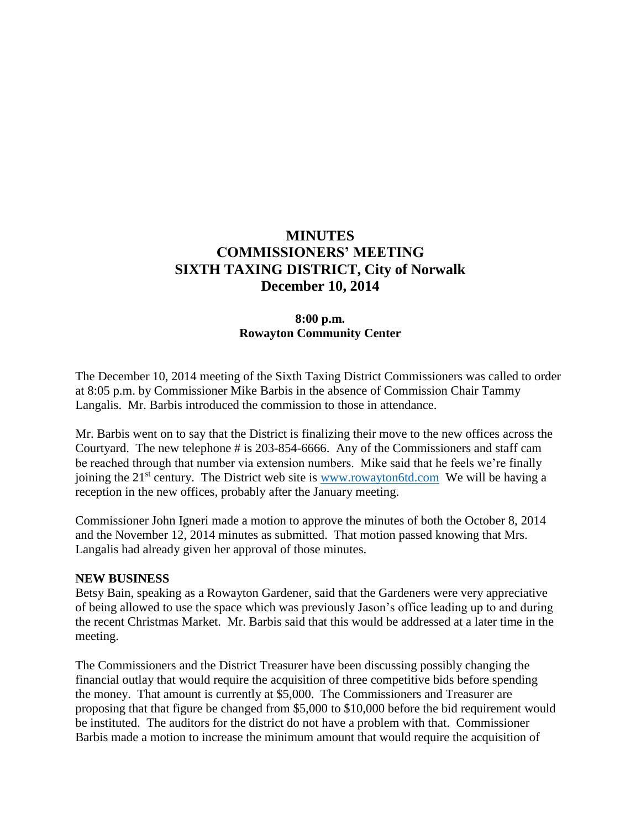# **MINUTES COMMISSIONERS' MEETING SIXTH TAXING DISTRICT, City of Norwalk December 10, 2014**

## **8:00 p.m. Rowayton Community Center**

The December 10, 2014 meeting of the Sixth Taxing District Commissioners was called to order at 8:05 p.m. by Commissioner Mike Barbis in the absence of Commission Chair Tammy Langalis. Mr. Barbis introduced the commission to those in attendance.

Mr. Barbis went on to say that the District is finalizing their move to the new offices across the Courtyard. The new telephone # is 203-854-6666. Any of the Commissioners and staff cam be reached through that number via extension numbers. Mike said that he feels we're finally joining the  $21<sup>st</sup>$  century. The District web site is [www.rowayton6td.com](http://www.rowayton6td.com/) We will be having a reception in the new offices, probably after the January meeting.

Commissioner John Igneri made a motion to approve the minutes of both the October 8, 2014 and the November 12, 2014 minutes as submitted. That motion passed knowing that Mrs. Langalis had already given her approval of those minutes.

#### **NEW BUSINESS**

Betsy Bain, speaking as a Rowayton Gardener, said that the Gardeners were very appreciative of being allowed to use the space which was previously Jason's office leading up to and during the recent Christmas Market. Mr. Barbis said that this would be addressed at a later time in the meeting.

The Commissioners and the District Treasurer have been discussing possibly changing the financial outlay that would require the acquisition of three competitive bids before spending the money. That amount is currently at \$5,000. The Commissioners and Treasurer are proposing that that figure be changed from \$5,000 to \$10,000 before the bid requirement would be instituted. The auditors for the district do not have a problem with that. Commissioner Barbis made a motion to increase the minimum amount that would require the acquisition of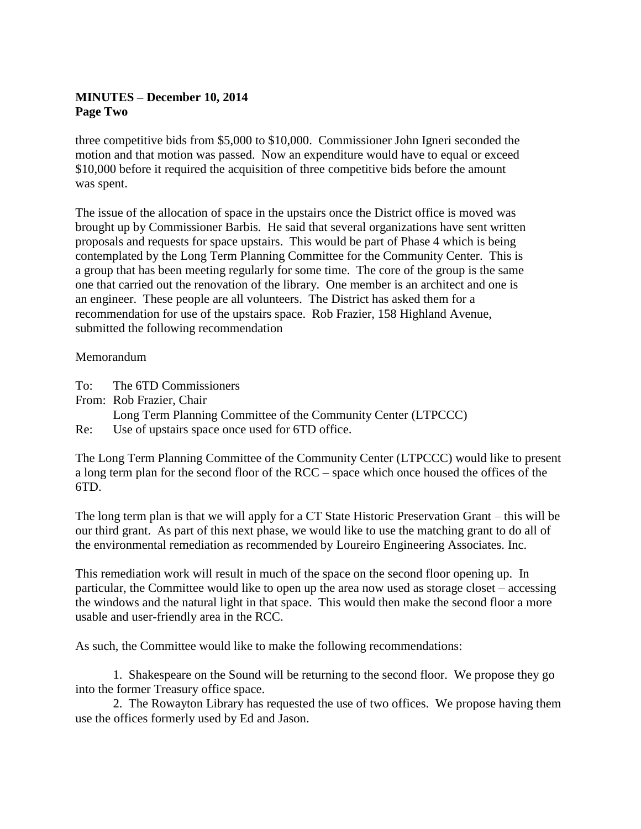# **MINUTES – December 10, 2014 Page Two**

three competitive bids from \$5,000 to \$10,000. Commissioner John Igneri seconded the motion and that motion was passed. Now an expenditure would have to equal or exceed \$10,000 before it required the acquisition of three competitive bids before the amount was spent.

The issue of the allocation of space in the upstairs once the District office is moved was brought up by Commissioner Barbis. He said that several organizations have sent written proposals and requests for space upstairs. This would be part of Phase 4 which is being contemplated by the Long Term Planning Committee for the Community Center. This is a group that has been meeting regularly for some time. The core of the group is the same one that carried out the renovation of the library. One member is an architect and one is an engineer. These people are all volunteers. The District has asked them for a recommendation for use of the upstairs space. Rob Frazier, 158 Highland Avenue, submitted the following recommendation

## Memorandum

- To: The 6TD Commissioners
- From: Rob Frazier, Chair Long Term Planning Committee of the Community Center (LTPCCC) Re: Use of upstairs space once used for 6TD office.

The Long Term Planning Committee of the Community Center (LTPCCC) would like to present a long term plan for the second floor of the RCC – space which once housed the offices of the 6TD.

The long term plan is that we will apply for a CT State Historic Preservation Grant – this will be our third grant. As part of this next phase, we would like to use the matching grant to do all of the environmental remediation as recommended by Loureiro Engineering Associates. Inc.

This remediation work will result in much of the space on the second floor opening up. In particular, the Committee would like to open up the area now used as storage closet – accessing the windows and the natural light in that space. This would then make the second floor a more usable and user-friendly area in the RCC.

As such, the Committee would like to make the following recommendations:

1. Shakespeare on the Sound will be returning to the second floor. We propose they go into the former Treasury office space.

2. The Rowayton Library has requested the use of two offices. We propose having them use the offices formerly used by Ed and Jason.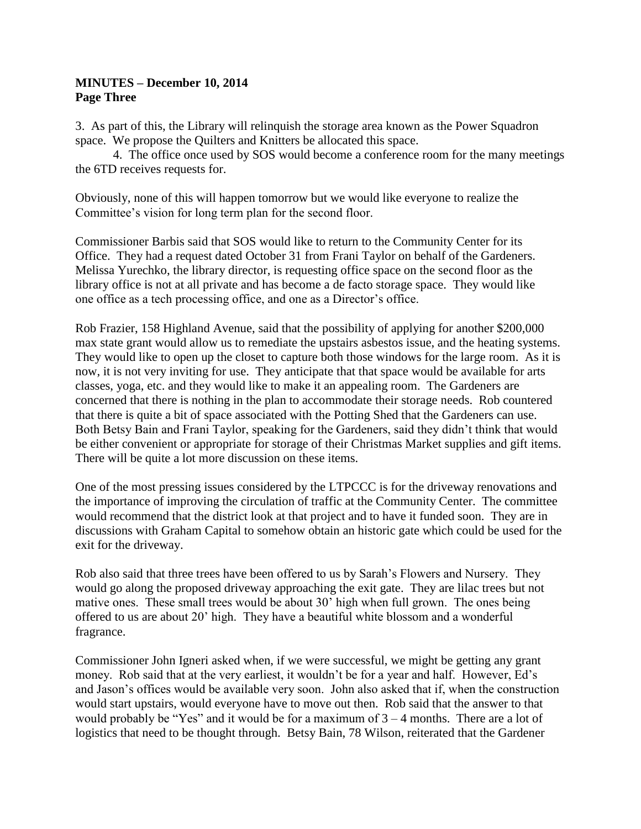## **MINUTES – December 10, 2014 Page Three**

3. As part of this, the Library will relinquish the storage area known as the Power Squadron space. We propose the Quilters and Knitters be allocated this space.

4. The office once used by SOS would become a conference room for the many meetings the 6TD receives requests for.

Obviously, none of this will happen tomorrow but we would like everyone to realize the Committee's vision for long term plan for the second floor.

Commissioner Barbis said that SOS would like to return to the Community Center for its Office. They had a request dated October 31 from Frani Taylor on behalf of the Gardeners. Melissa Yurechko, the library director, is requesting office space on the second floor as the library office is not at all private and has become a de facto storage space. They would like one office as a tech processing office, and one as a Director's office.

Rob Frazier, 158 Highland Avenue, said that the possibility of applying for another \$200,000 max state grant would allow us to remediate the upstairs asbestos issue, and the heating systems. They would like to open up the closet to capture both those windows for the large room. As it is now, it is not very inviting for use. They anticipate that that space would be available for arts classes, yoga, etc. and they would like to make it an appealing room. The Gardeners are concerned that there is nothing in the plan to accommodate their storage needs. Rob countered that there is quite a bit of space associated with the Potting Shed that the Gardeners can use. Both Betsy Bain and Frani Taylor, speaking for the Gardeners, said they didn't think that would be either convenient or appropriate for storage of their Christmas Market supplies and gift items. There will be quite a lot more discussion on these items.

One of the most pressing issues considered by the LTPCCC is for the driveway renovations and the importance of improving the circulation of traffic at the Community Center. The committee would recommend that the district look at that project and to have it funded soon. They are in discussions with Graham Capital to somehow obtain an historic gate which could be used for the exit for the driveway.

Rob also said that three trees have been offered to us by Sarah's Flowers and Nursery. They would go along the proposed driveway approaching the exit gate. They are lilac trees but not mative ones. These small trees would be about 30' high when full grown. The ones being offered to us are about 20' high. They have a beautiful white blossom and a wonderful fragrance.

Commissioner John Igneri asked when, if we were successful, we might be getting any grant money. Rob said that at the very earliest, it wouldn't be for a year and half. However, Ed's and Jason's offices would be available very soon. John also asked that if, when the construction would start upstairs, would everyone have to move out then. Rob said that the answer to that would probably be "Yes" and it would be for a maximum of  $3 - 4$  months. There are a lot of logistics that need to be thought through. Betsy Bain, 78 Wilson, reiterated that the Gardener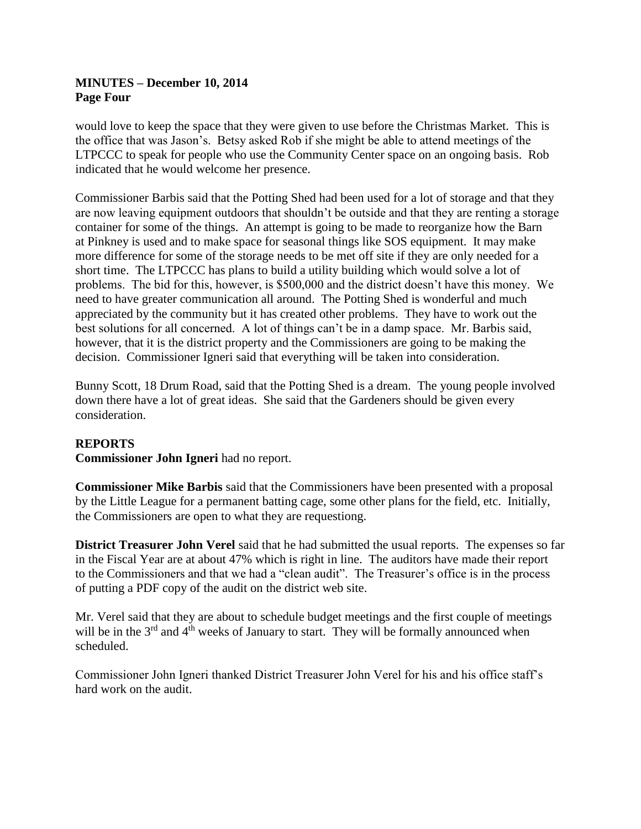## **MINUTES – December 10, 2014 Page Four**

would love to keep the space that they were given to use before the Christmas Market. This is the office that was Jason's. Betsy asked Rob if she might be able to attend meetings of the LTPCCC to speak for people who use the Community Center space on an ongoing basis. Rob indicated that he would welcome her presence.

Commissioner Barbis said that the Potting Shed had been used for a lot of storage and that they are now leaving equipment outdoors that shouldn't be outside and that they are renting a storage container for some of the things. An attempt is going to be made to reorganize how the Barn at Pinkney is used and to make space for seasonal things like SOS equipment. It may make more difference for some of the storage needs to be met off site if they are only needed for a short time. The LTPCCC has plans to build a utility building which would solve a lot of problems. The bid for this, however, is \$500,000 and the district doesn't have this money. We need to have greater communication all around. The Potting Shed is wonderful and much appreciated by the community but it has created other problems. They have to work out the best solutions for all concerned. A lot of things can't be in a damp space. Mr. Barbis said, however, that it is the district property and the Commissioners are going to be making the decision. Commissioner Igneri said that everything will be taken into consideration.

Bunny Scott, 18 Drum Road, said that the Potting Shed is a dream. The young people involved down there have a lot of great ideas. She said that the Gardeners should be given every consideration.

# **REPORTS**

**Commissioner John Igneri** had no report.

**Commissioner Mike Barbis** said that the Commissioners have been presented with a proposal by the Little League for a permanent batting cage, some other plans for the field, etc. Initially, the Commissioners are open to what they are requestiong.

**District Treasurer John Verel** said that he had submitted the usual reports. The expenses so far in the Fiscal Year are at about 47% which is right in line. The auditors have made their report to the Commissioners and that we had a "clean audit". The Treasurer's office is in the process of putting a PDF copy of the audit on the district web site.

Mr. Verel said that they are about to schedule budget meetings and the first couple of meetings will be in the  $3<sup>rd</sup>$  and  $4<sup>th</sup>$  weeks of January to start. They will be formally announced when scheduled.

Commissioner John Igneri thanked District Treasurer John Verel for his and his office staff's hard work on the audit.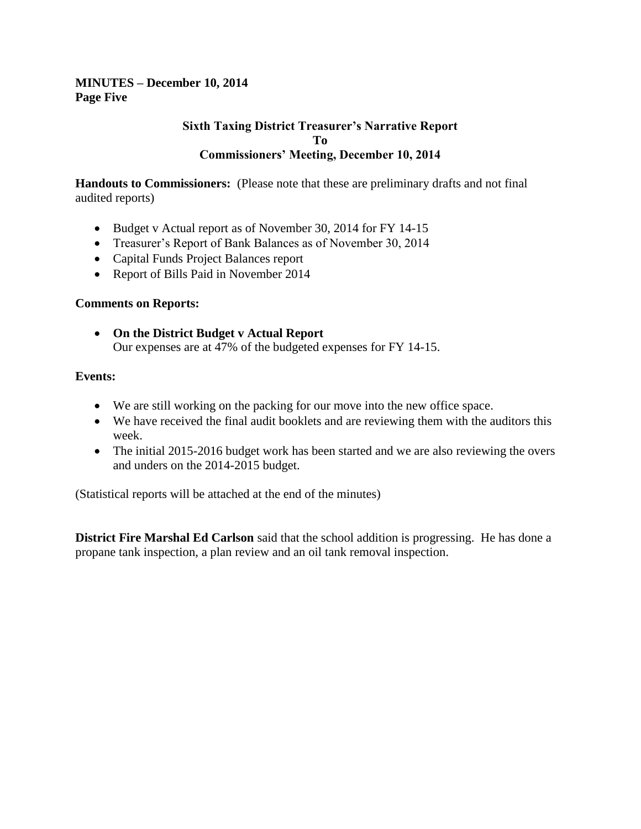## **MINUTES – December 10, 2014 Page Five**

#### **Sixth Taxing District Treasurer's Narrative Report To Commissioners' Meeting, December 10, 2014**

**Handouts to Commissioners:** (Please note that these are preliminary drafts and not final audited reports)

- Budget v Actual report as of November 30, 2014 for FY 14-15
- Treasurer's Report of Bank Balances as of November 30, 2014
- Capital Funds Project Balances report
- Report of Bills Paid in November 2014

#### **Comments on Reports:**

 **On the District Budget v Actual Report** Our expenses are at 47% of the budgeted expenses for FY 14-15.

#### **Events:**

- We are still working on the packing for our move into the new office space.
- We have received the final audit booklets and are reviewing them with the auditors this week.
- The initial 2015-2016 budget work has been started and we are also reviewing the overs and unders on the 2014-2015 budget.

(Statistical reports will be attached at the end of the minutes)

**District Fire Marshal Ed Carlson** said that the school addition is progressing. He has done a propane tank inspection, a plan review and an oil tank removal inspection.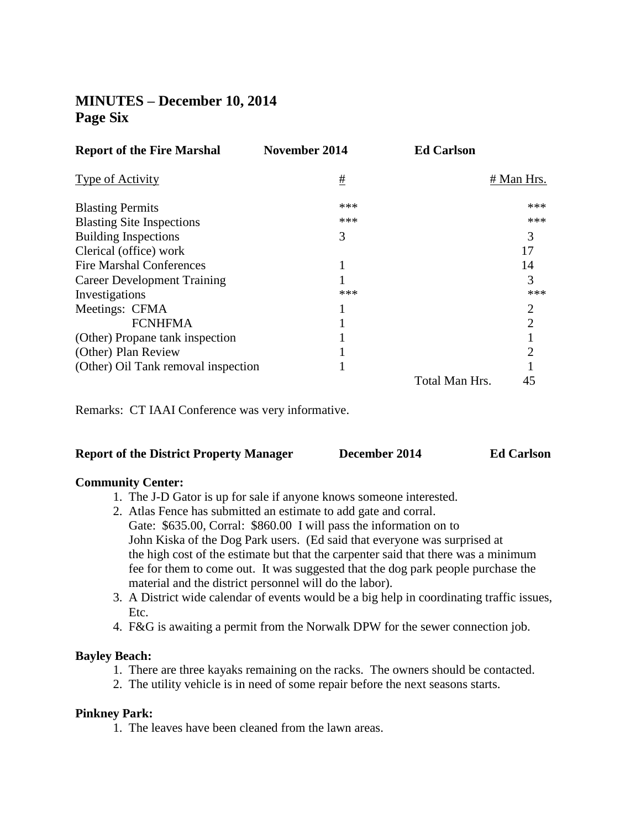# **MINUTES – December 10, 2014 Page Six**

| <b>Report of the Fire Marshal</b>   | <b>November 2014</b> | <b>Ed Carlson</b> |                |
|-------------------------------------|----------------------|-------------------|----------------|
| Type of Activity                    | #                    |                   | # Man Hrs.     |
| <b>Blasting Permits</b>             | ***                  |                   | ***            |
| <b>Blasting Site Inspections</b>    | ***                  |                   | ***            |
| <b>Building Inspections</b>         | 3                    |                   | 3              |
| Clerical (office) work              |                      |                   | 17             |
| <b>Fire Marshal Conferences</b>     |                      |                   | 14             |
| <b>Career Development Training</b>  |                      |                   | 3              |
| Investigations                      | ***                  |                   | ***            |
| Meetings: CFMA                      |                      |                   | 2              |
| <b>FCNHFMA</b>                      |                      |                   | $\overline{2}$ |
| (Other) Propane tank inspection     |                      |                   |                |
| (Other) Plan Review                 |                      |                   | 2              |
| (Other) Oil Tank removal inspection |                      |                   |                |
|                                     |                      | Total Man Hrs.    | 45             |

Remarks: CT IAAI Conference was very informative.

#### **Report of the District Property Manager December 2014 Ed Carlson**

#### **Community Center:**

- 1. The J-D Gator is up for sale if anyone knows someone interested.
- 2. Atlas Fence has submitted an estimate to add gate and corral. Gate: \$635.00, Corral: \$860.00 I will pass the information on to John Kiska of the Dog Park users. (Ed said that everyone was surprised at the high cost of the estimate but that the carpenter said that there was a minimum fee for them to come out. It was suggested that the dog park people purchase the material and the district personnel will do the labor).
- 3. A District wide calendar of events would be a big help in coordinating traffic issues, Etc.
- 4. F&G is awaiting a permit from the Norwalk DPW for the sewer connection job.

#### **Bayley Beach:**

- 1. There are three kayaks remaining on the racks. The owners should be contacted.
- 2. The utility vehicle is in need of some repair before the next seasons starts.

#### **Pinkney Park:**

1. The leaves have been cleaned from the lawn areas.